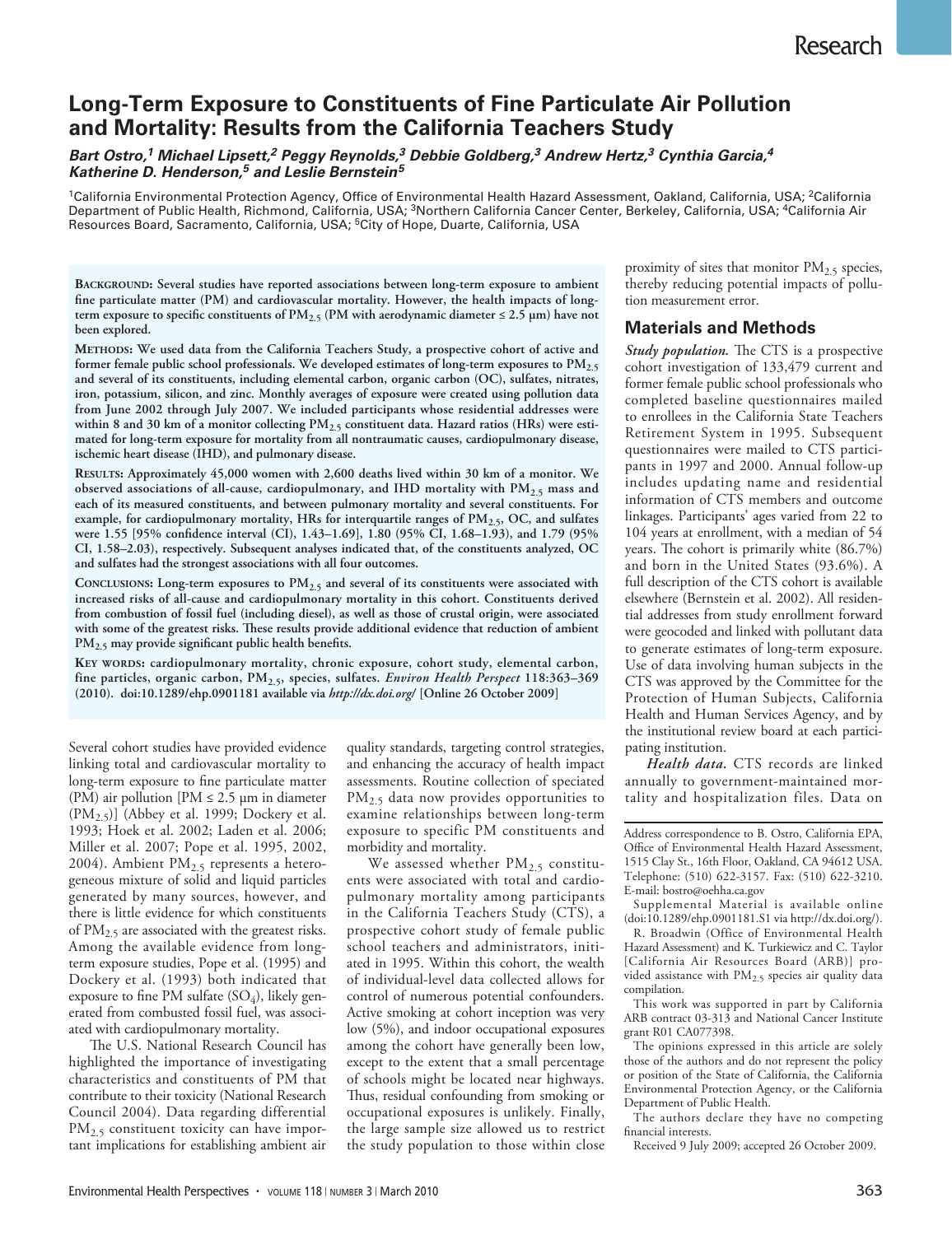# **Long-Term Exposure to Constituents of Fine Particulate Air Pollution and Mortality: Results from the California Teachers Study**

*Bart Ostro,1 Michael Lipsett,2 Peggy Reynolds,3 Debbie Goldberg,3 Andrew Hertz,3 Cynthia Garcia,4 Katherine D. Henderson,5 and Leslie Bernstein5*

<sup>1</sup>California Environmental Protection Agency, Office of Environmental Health Hazard Assessment, Oakland, California, USA; <sup>2</sup>California Department of Public Health, Richmond, California, USA; <sup>3</sup>Northern California Cancer Center, Berkeley, California, USA; <sup>4</sup>California Air Resources Board, Sacramento, California, USA; 5City of Hope, Duarte, California, USA

**Background: Several studies have reported associations between long-term exposure to ambient fine particulate matter (PM) and cardiovascular mortality. However, the health impacts of long**term exposure to specific constituents of  $PM_{2.5}$  (PM with aerodynamic diameter  $\leq 2.5$  µm) have not **been explored.**

**Methods: We used data from the California Teachers Study, a prospective cohort of active and former female public school professionals. We developed estimates of long-term exposures to PM2.5 and several of its constituents, including elemental carbon, organic carbon (OC), sulfates, nitrates, iron, potassium, silicon, and zinc. Monthly averages of exposure were created using pollution data from June 2002 through July 2007. We included participants whose residential addresses were**  within 8 and 30 km of a monitor collecting PM<sub>2.5</sub> constituent data. Hazard ratios (HRs) were esti**mated for long-term exposure for mortality from all nontraumatic causes, cardiopulmonary disease, ischemic heart disease (IHD), and pulmonary disease.**

**Results: Approximately 45,000 women with 2,600 deaths lived within 30 km of a monitor. We observed associations of all-cause, cardiopulmonary, and IHD mortality with PM2.5 mass and each of its measured constituents, and between pulmonary mortality and several constituents. For**  example, for cardiopulmonary mortality, HRs for interquartile ranges of PM<sub>2.5</sub>, OC, and sulfates **were 1.55 [95% confidence interval (CI), 1.43–1.69], 1.80 (95% CI, 1.68–1.93), and 1.79 (95% CI, 1.58–2.03), respectively. Subsequent analyses indicated that, of the constituents analyzed, OC and sulfates had the strongest associations with all four outcomes.**

**Conclusions: Long-term exposures to PM2.5 and several of its constituents were associated with increased risks of all-cause and cardiopulmonary mortality in this cohort. Constituents derived from combustion of fossil fuel (including diesel), as well as those of crustal origin, were associated with some of the greatest risks. These results provide additional evidence that reduction of ambient PM2.5 may provide significant public health benefits.**

KEY WORDS: cardiopulmonary mortality, chronic exposure, cohort study, elemental carbon, **fine particles, organic carbon, PM2.5, species, sulfates.** *Environ Health Perspect* **118:363–369 (2010). doi:10.1289/ehp.0901181 available via** *http://dx.doi.org/* **[Online 26 October 2009]**

Several cohort studies have provided evidence linking total and cardiovascular mortality to long-term exposure to fine particulate matter (PM) air pollution [PM  $\leq$  2.5 µm in diameter  $(PM<sub>2.5</sub>)$ ] (Abbey et al. 1999; Dockery et al. 1993; Hoek et al. 2002; Laden et al. 2006; Miller et al. 2007; Pope et al. 1995, 2002, 2004). Ambient  $PM_{2.5}$  represents a heterogeneous mixture of solid and liquid particles generated by many sources, however, and there is little evidence for which constituents of  $PM_{2.5}$  are associated with the greatest risks. Among the available evidence from longterm exposure studies, Pope et al. (1995) and Dockery et al. (1993) both indicated that exposure to fine PM sulfate  $(SO<sub>4</sub>)$ , likely generated from combusted fossil fuel, was associated with cardiopulmonary mortality.

The U.S. National Research Council has highlighted the importance of investigating characteristics and constituents of PM that contribute to their toxicity (National Research Council 2004). Data regarding differential PM<sub>2.5</sub> constituent toxicity can have important implications for establishing ambient air

quality standards, targeting control strategies, and enhancing the accuracy of health impact assessments. Routine collection of speciated PM<sub>2.5</sub> data now provides opportunities to examine relationships between long-term exposure to specific PM constituents and morbidity and mortality.

We assessed whether  $PM_{2.5}$  constituents were associated with total and cardiopulmonary mortality among participants in the California Teachers Study (CTS), a prospective cohort study of female public school teachers and administrators, initiated in 1995. Within this cohort, the wealth of individual-level data collected allows for control of numerous potential confounders. Active smoking at cohort inception was very low (5%), and indoor occupational exposures among the cohort have generally been low, except to the extent that a small percentage of schools might be located near highways. Thus, residual confounding from smoking or occupational exposures is unlikely. Finally, the large sample size allowed us to restrict the study population to those within close

proximity of sites that monitor PM<sub>2.5</sub> species, thereby reducing potential impacts of pollution measurement error.

## **Materials and Methods**

*Study population.* The CTS is a prospective cohort investigation of 133,479 current and former female public school professionals who completed baseline questionnaires mailed to enrollees in the California State Teachers Retirement System in 1995. Subsequent questionnaires were mailed to CTS participants in 1997 and 2000. Annual follow-up includes updating name and residential information of CTS members and outcome linkages. Participants' ages varied from 22 to 104 years at enrollment, with a median of 54 years. The cohort is primarily white (86.7%) and born in the United States (93.6%). A full description of the CTS cohort is available elsewhere (Bernstein et al. 2002). All residential addresses from study enrollment forward were geocoded and linked with pollutant data to generate estimates of long-term exposure. Use of data involving human subjects in the CTS was approved by the Committee for the Protection of Human Subjects, California Health and Human Services Agency, and by the institutional review board at each participating institution.

*Health data.* CTS records are linked annually to government-maintained mortality and hospitalization files. Data on

Address correspondence to B. Ostro, California EPA, Office of Environmental Health Hazard Assessment, 1515 Clay St., 16th Floor, Oakland, CA 94612 USA. Telephone: (510) 622-3157. Fax: (510) 622-3210. E-mail: bostro@oehha.ca.gov

Supplemental Material is available online (doi:10.1289/ehp.0901181.S1 via http://dx.doi.org/).

R. Broadwin (Office of Environmental Health Hazard Assessment) and K. Turkiewicz and C. Taylor [California Air Resources Board (ARB)] provided assistance with  $PM_{2.5}$  species air quality data compilation.

This work was supported in part by California ARB contract 03-313 and National Cancer Institute grant R01 CA077398.

The opinions expressed in this article are solely those of the authors and do not represent the policy or position of the State of California, the California Environmental Protection Agency, or the California Department of Public Health.

The authors declare they have no competing financial interests.

Received 9 July 2009; accepted 26 October 2009.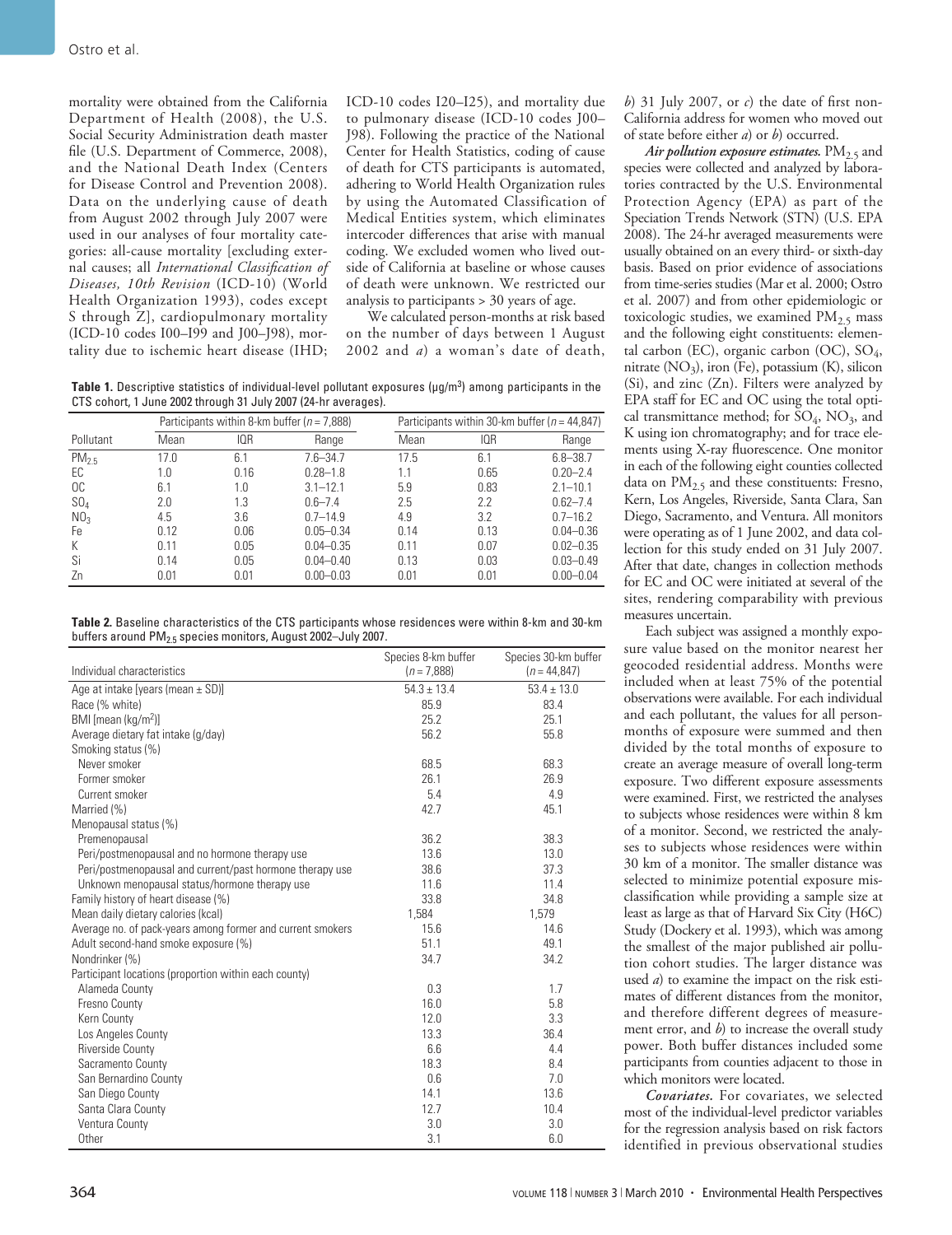mortality were obtained from the California Department of Health (2008), the U.S. Social Security Administration death master file (U.S. Department of Commerce, 2008), and the National Death Index (Centers for Disease Control and Prevention 2008). Data on the underlying cause of death from August 2002 through July 2007 were used in our analyses of four mortality categories: all-cause mortality [excluding external causes; all *International Classification of Diseases, 10th Revision* (ICD-10) (World Health Organization 1993), codes except S through Z], cardiopulmonary mortality (ICD-10 codes I00–I99 and J00–J98), mortality due to ischemic heart disease (IHD;

ICD-10 codes I20–I25), and mortality due to pulmonary disease (ICD-10 codes J00– J98). Following the practice of the National Center for Health Statistics, coding of cause of death for CTS participants is automated, adhering to World Health Organization rules by using the Automated Classification of Medical Entities system, which eliminates intercoder differences that arise with manual coding. We excluded women who lived outside of California at baseline or whose causes of death were unknown. We restricted our analysis to participants > 30 years of age.

We calculated person-months at risk based on the number of days between 1 August 2002 and *a*) a woman's date of death,

**Table 1.** Descriptive statistics of individual-level pollutant exposures (µg/m<sup>3</sup> ) among participants in the CTS cohort, 1 June 2002 through 31 July 2007 (24-hr averages).

|                  | Participants within 8-km buffer ( $n = 7,888$ ) |      | Participants within 30-km buffer ( $n = 44,847$ ) |      |      |               |
|------------------|-------------------------------------------------|------|---------------------------------------------------|------|------|---------------|
| Pollutant        | Mean                                            | IOR  | Range                                             | Mean | IQR  | Range         |
| PM <sub>25</sub> | 17.0                                            | 6.1  | $7.6 - 34.7$                                      | 17.5 | 6.1  | $6.8 - 38.7$  |
| EC               | 1.0                                             | 0.16 | $0.28 - 1.8$                                      | 1.1  | 0.65 | $0.20 - 2.4$  |
| OC               | 6.1                                             | 1.0  | $3.1 - 12.1$                                      | 5.9  | 0.83 | $2.1 - 10.1$  |
| $SO_4$           | 2.0                                             | 1.3  | $0.6 - 7.4$                                       | 2.5  | 2.2  | $0.62 - 7.4$  |
| NO <sub>3</sub>  | 4.5                                             | 3.6  | $0.7 - 14.9$                                      | 4.9  | 3.2  | $0.7 - 16.2$  |
| Fe.              | 0.12                                            | 0.06 | $0.05 - 0.34$                                     | 0.14 | 0.13 | $0.04 - 0.36$ |
| К                | 0.11                                            | 0.05 | $0.04 - 0.35$                                     | 0.11 | 0.07 | $0.02 - 0.35$ |
| Si               | 0.14                                            | 0.05 | $0.04 - 0.40$                                     | 0.13 | 0.03 | $0.03 - 0.49$ |
| Zn               | 0.01                                            | 0.01 | $0.00 - 0.03$                                     | 0.01 | 0.01 | $0.00 - 0.04$ |

**Table 2.** Baseline characteristics of the CTS participants whose residences were within 8-km and 30-km buffers around PM<sub>2.5</sub> species monitors, August 2002-July 2007.

|                                                            | Species 8-km buffer | Species 30-km buffer |
|------------------------------------------------------------|---------------------|----------------------|
| Individual characteristics                                 | $(n = 7,888)$       | $(n = 44, 847)$      |
| Age at intake [years (mean $\pm$ SD)]                      | $54.3 \pm 13.4$     | $53.4 \pm 13.0$      |
| Race (% white)                                             | 85.9                | 83.4                 |
| BMI [mean (kg/m <sup>2</sup> )]                            | 25.2                | 25.1                 |
| Average dietary fat intake (g/day)                         | 56.2                | 55.8                 |
| Smoking status (%)                                         |                     |                      |
| Never smoker                                               | 68.5                | 68.3                 |
| Former smoker                                              | 26.1                | 26.9                 |
| Current smoker                                             | 5.4                 | 4.9                  |
| Married (%)                                                | 42.7                | 45.1                 |
| Menopausal status (%)                                      |                     |                      |
| Premenopausal                                              | 36.2                | 38.3                 |
| Peri/postmenopausal and no hormone therapy use             | 13.6                | 13.0                 |
| Peri/postmenopausal and current/past hormone therapy use   | 38.6                | 37.3                 |
| Unknown menopausal status/hormone therapy use              | 11.6                | 11.4                 |
| Family history of heart disease (%)                        | 33.8                | 34.8                 |
| Mean daily dietary calories (kcal)                         | 1,584               | 1.579                |
| Average no. of pack-years among former and current smokers | 15.6                | 14.6                 |
| Adult second-hand smoke exposure (%)                       | 51.1                | 49.1                 |
| Nondrinker (%)                                             | 34.7                | 34.2                 |
| Participant locations (proportion within each county)      |                     |                      |
| Alameda County                                             | 0.3                 | 1.7                  |
| Fresno County                                              | 16.0                | 5.8                  |
| Kern County                                                | 12.0                | 3.3                  |
| Los Angeles County                                         | 13.3                | 36.4                 |
| <b>Riverside County</b>                                    | 6.6                 | 4.4                  |
| Sacramento County                                          | 18.3                | 8.4                  |
| San Bernardino County                                      | 0.6                 | 7.0                  |
| San Diego County                                           | 14.1                | 13.6                 |
| Santa Clara County                                         | 12.7                | 10.4                 |
| Ventura County                                             | 3.0                 | 3.0                  |
| Other                                                      | 3.1                 | 6.0                  |

*b*) 31 July 2007, or *c*) the date of first non-California address for women who moved out of state before either *a*) or *b*) occurred.

*Air pollution exposure estimates.*  $PM<sub>2.5</sub>$  and species were collected and analyzed by laboratories contracted by the U.S. Environmental Protection Agency (EPA) as part of the Speciation Trends Network (STN) (U.S. EPA 2008). The 24-hr averaged measurements were usually obtained on an every third- or sixth-day basis. Based on prior evidence of associations from time-series studies (Mar et al. 2000; Ostro et al. 2007) and from other epidemiologic or toxicologic studies, we examined  $PM_{2.5}$  mass and the following eight constituents: elemental carbon (EC), organic carbon (OC), SO4, nitrate  $(NO_3)$ , iron (Fe), potassium  $(K)$ , silicon (Si), and zinc (Zn). Filters were analyzed by EPA staff for EC and OC using the total optical transmittance method; for  $SO_4$ ,  $NO_3$ , and K using ion chromatography; and for trace elements using X-ray fluorescence. One monitor in each of the following eight counties collected data on  $PM<sub>2.5</sub>$  and these constituents: Fresno, Kern, Los Angeles, Riverside, Santa Clara, San Diego, Sacramento, and Ventura. All monitors were operating as of 1 June 2002, and data collection for this study ended on 31 July 2007. After that date, changes in collection methods for EC and OC were initiated at several of the sites, rendering comparability with previous measures uncertain.

Each subject was assigned a monthly exposure value based on the monitor nearest her geocoded residential address. Months were included when at least 75% of the potential observations were available. For each individual and each pollutant, the values for all personmonths of exposure were summed and then divided by the total months of exposure to create an average measure of overall long-term exposure. Two different exposure assessments were examined. First, we restricted the analyses to subjects whose residences were within 8 km of a monitor. Second, we restricted the analyses to subjects whose residences were within 30 km of a monitor. The smaller distance was selected to minimize potential exposure misclassification while providing a sample size at least as large as that of Harvard Six City (H6C) Study (Dockery et al. 1993), which was among the smallest of the major published air pollution cohort studies. The larger distance was used *a*) to examine the impact on the risk estimates of different distances from the monitor, and therefore different degrees of measurement error, and *b*) to increase the overall study power. Both buffer distances included some participants from counties adjacent to those in which monitors were located.

*Covariates.* For covariates, we selected most of the individual-level predictor variables for the regression analysis based on risk factors identified in previous observational studies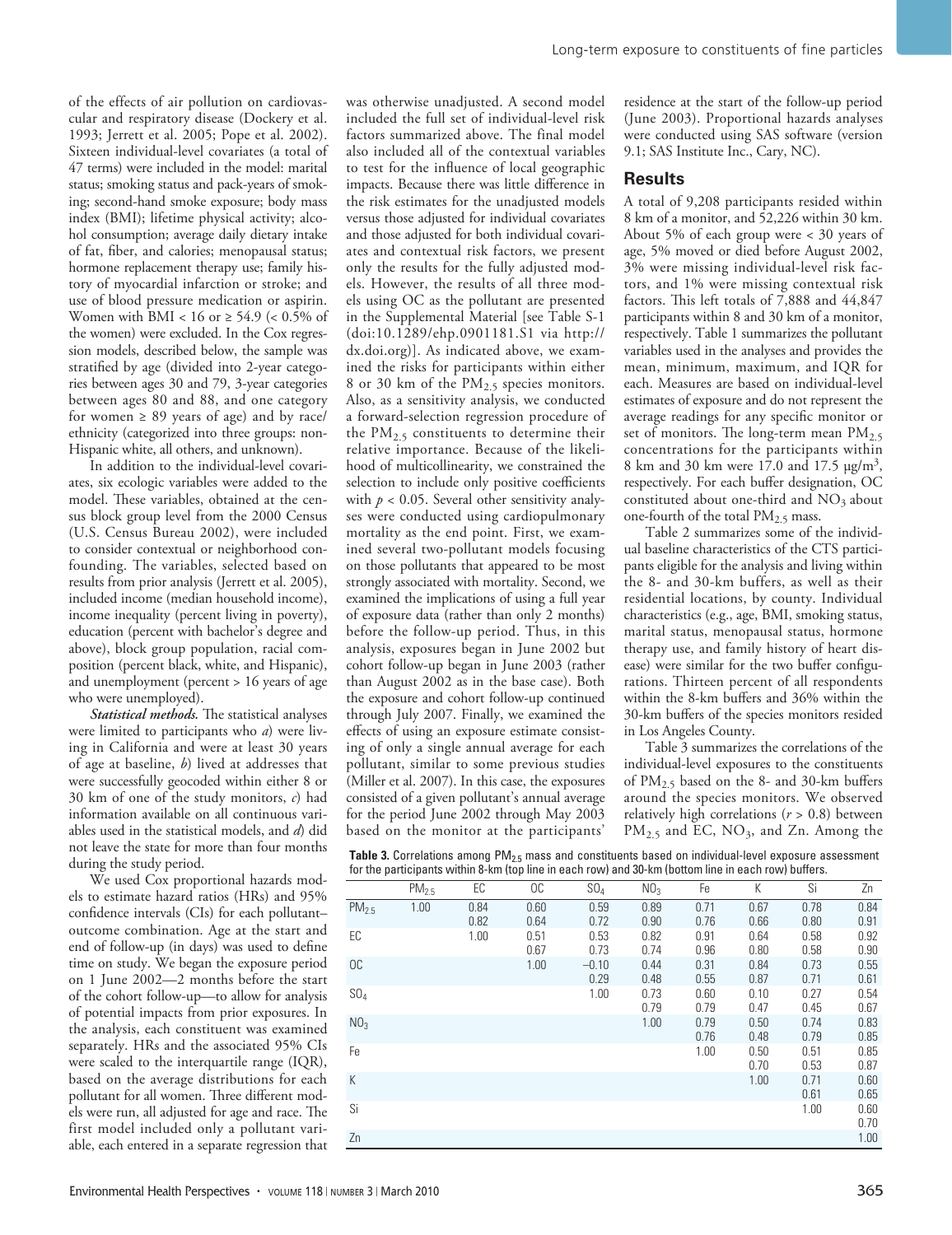of the effects of air pollution on cardiovascular and respiratory disease (Dockery et al. 1993; Jerrett et al. 2005; Pope et al. 2002). Sixteen individual-level covariates (a total of 47 terms) were included in the model: marital status; smoking status and pack-years of smoking; second-hand smoke exposure; body mass index (BMI); lifetime physical activity; alcohol consumption; average daily dietary intake of fat, fiber, and calories; menopausal status; hormone replacement therapy use; family history of myocardial infarction or stroke; and use of blood pressure medication or aspirin. Women with BMI < 16 or  $\geq$  54.9 (< 0.5% of the women) were excluded. In the Cox regression models, described below, the sample was stratified by age (divided into 2-year categories between ages 30 and 79, 3-year categories between ages 80 and 88, and one category for women  $\geq 89$  years of age) and by race/ ethnicity (categorized into three groups: non-Hispanic white, all others, and unknown).

In addition to the individual-level covariates, six ecologic variables were added to the model. These variables, obtained at the census block group level from the 2000 Census (U.S. Census Bureau 2002), were included to consider contextual or neighborhood confounding. The variables, selected based on results from prior analysis (Jerrett et al. 2005), included income (median household income), income inequality (percent living in poverty), education (percent with bachelor's degree and above), block group population, racial composition (percent black, white, and Hispanic), and unemployment (percent > 16 years of age who were unemployed).

*Statistical methods.* The statistical analyses were limited to participants who *a*) were living in California and were at least 30 years of age at baseline, *b*) lived at addresses that were successfully geocoded within either 8 or 30 km of one of the study monitors, *c*) had information available on all continuous variables used in the statistical models, and *d*) did not leave the state for more than four months during the study period.

We used Cox proportional hazards models to estimate hazard ratios (HRs) and 95% confidence intervals (CIs) for each pollutant– outcome combination. Age at the start and end of follow-up (in days) was used to define time on study. We began the exposure period on 1 June 2002—2 months before the start of the cohort follow-up—to allow for analysis of potential impacts from prior exposures. In the analysis, each constituent was examined separately. HRs and the associated 95% CIs were scaled to the interquartile range (IQR), based on the average distributions for each pollutant for all women. Three different models were run, all adjusted for age and race. The first model included only a pollutant variable, each entered in a separate regression that

was otherwise unadjusted. A second model included the full set of individual-level risk factors summarized above. The final model also included all of the contextual variables to test for the influence of local geographic impacts. Because there was little difference in the risk estimates for the unadjusted models versus those adjusted for individual covariates and those adjusted for both individual covariates and contextual risk factors, we present only the results for the fully adjusted models. However, the results of all three models using OC as the pollutant are presented in the Supplemental Material [see Table S-1 (doi:10.1289/ehp.0901181.S1 via http:// dx.doi.org)]. As indicated above, we examined the risks for participants within either 8 or 30 km of the PM<sub>2.5</sub> species monitors. Also, as a sensitivity analysis, we conducted a forward-selection regression procedure of the  $PM<sub>2.5</sub>$  constituents to determine their relative importance. Because of the likelihood of multicollinearity, we constrained the selection to include only positive coefficients with  $p < 0.05$ . Several other sensitivity analyses were conducted using cardiopulmonary mortality as the end point. First, we examined several two-pollutant models focusing on those pollutants that appeared to be most strongly associated with mortality. Second, we examined the implications of using a full year of exposure data (rather than only 2 months) before the follow-up period. Thus, in this analysis, exposures began in June 2002 but cohort follow-up began in June 2003 (rather than August 2002 as in the base case). Both the exposure and cohort follow-up continued through July 2007. Finally, we examined the effects of using an exposure estimate consisting of only a single annual average for each pollutant, similar to some previous studies (Miller et al. 2007). In this case, the exposures consisted of a given pollutant's annual average for the period June 2002 through May 2003 based on the monitor at the participants'

residence at the start of the follow-up period (June 2003). Proportional hazards analyses were conducted using SAS software (version 9.1; SAS Institute Inc., Cary, NC).

#### **Results**

A total of 9,208 participants resided within 8 km of a monitor, and 52,226 within 30 km. About 5% of each group were < 30 years of age, 5% moved or died before August 2002, 3% were missing individual-level risk factors, and 1% were missing contextual risk factors. This left totals of 7,888 and 44,847 participants within 8 and 30 km of a monitor, respectively. Table 1 summarizes the pollutant variables used in the analyses and provides the mean, minimum, maximum, and IQR for each. Measures are based on individual-level estimates of exposure and do not represent the average readings for any specific monitor or set of monitors. The long-term mean  $PM_{2.5}$ concentrations for the participants within 8 km and 30 km were 17.0 and 17.5 µg/m3, respectively. For each buffer designation, OC constituted about one-third and  $NO<sub>3</sub>$  about one-fourth of the total  $PM<sub>2.5</sub>$  mass.

Table 2 summarizes some of the individual baseline characteristics of the CTS participants eligible for the analysis and living within the 8- and 30-km buffers, as well as their residential locations, by county. Individual characteristics (e.g., age, BMI, smoking status, marital status, menopausal status, hormone therapy use, and family history of heart disease) were similar for the two buffer configurations. Thirteen percent of all respondents within the 8-km buffers and 36% within the 30-km buffers of the species monitors resided in Los Angeles County.

Table 3 summarizes the correlations of the individual-level exposures to the constituents of PM2.5 based on the 8- and 30-km buffers around the species monitors. We observed relatively high correlations (*r* > 0.8) between  $PM_{2.5}$  and EC,  $NO_3$ , and Zn. Among the

Table 3. Correlations among PM<sub>2.5</sub> mass and constituents based on individual-level exposure assessment for the participants within 8-km (top line in each row) and 30-km (bottom line in each row) buffers.

| TOT the participants within 6 Km (top into in cabil row) and ob Km (bottom into in cabil row) bancro. |                   |              |              |                 |                 |              |              |              |              |
|-------------------------------------------------------------------------------------------------------|-------------------|--------------|--------------|-----------------|-----------------|--------------|--------------|--------------|--------------|
|                                                                                                       | PM <sub>2.5</sub> | EC           | OC           | SO <sub>4</sub> | NO <sub>3</sub> | Fe           | K            | Si           | Zn           |
| PM <sub>2.5</sub>                                                                                     | 1.00              | 0.84<br>0.82 | 0.60<br>0.64 | 0.59<br>0.72    | 0.89<br>0.90    | 0.71<br>0.76 | 0.67<br>0.66 | 0.78<br>0.80 | 0.84<br>0.91 |
| EC                                                                                                    |                   | 1.00         | 0.51<br>0.67 | 0.53<br>0.73    | 0.82<br>0.74    | 0.91<br>0.96 | 0.64<br>0.80 | 0.58<br>0.58 | 0.92<br>0.90 |
| OC.                                                                                                   |                   |              | 1.00         | $-0.10$<br>0.29 | 0.44<br>0.48    | 0.31<br>0.55 | 0.84<br>0.87 | 0.73<br>0.71 | 0.55<br>0.61 |
| SO <sub>4</sub>                                                                                       |                   |              |              | 1.00            | 0.73<br>0.79    | 0.60<br>0.79 | 0.10<br>0.47 | 0.27<br>0.45 | 0.54<br>0.67 |
| NO <sub>3</sub>                                                                                       |                   |              |              |                 | 1.00            | 0.79<br>0.76 | 0.50<br>0.48 | 0.74<br>0.79 | 0.83<br>0.85 |
| Fe                                                                                                    |                   |              |              |                 |                 | 1.00         | 0.50<br>0.70 | 0.51<br>0.53 | 0.85<br>0.87 |
| K                                                                                                     |                   |              |              |                 |                 |              | 1.00         | 0.71<br>0.61 | 0.60<br>0.65 |
| Si                                                                                                    |                   |              |              |                 |                 |              |              | 1.00         | 0.60<br>0.70 |
| Zn                                                                                                    |                   |              |              |                 |                 |              |              |              | 1.00         |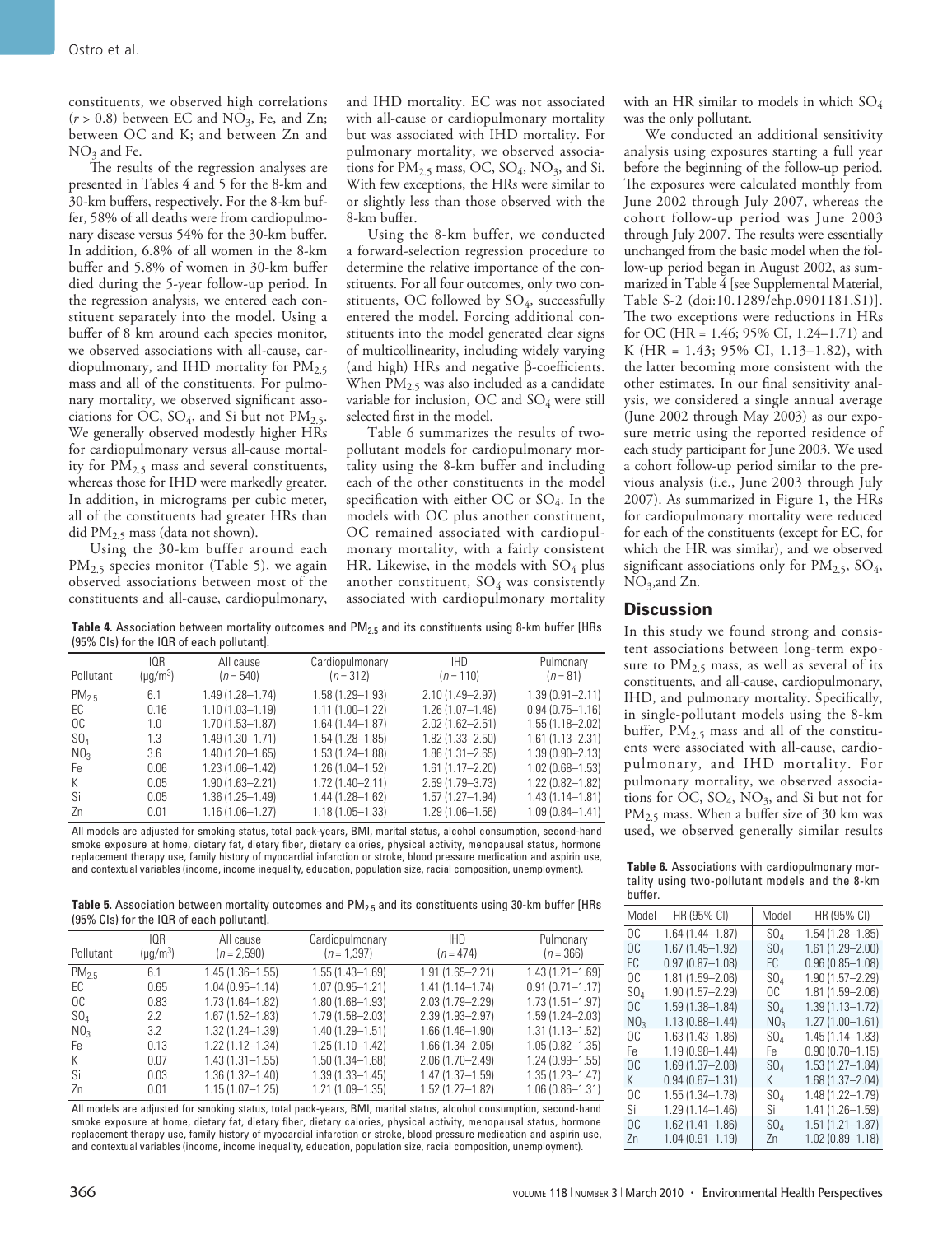constituents, we observed high correlations  $(r > 0.8)$  between EC and NO<sub>3</sub>, Fe, and Zn; between OC and K; and between Zn and  $NO<sub>3</sub>$  and Fe.

The results of the regression analyses are presented in Tables 4 and 5 for the 8-km and 30-km buffers, respectively. For the 8-km buffer, 58% of all deaths were from cardiopulmonary disease versus 54% for the 30-km buffer. In addition, 6.8% of all women in the 8-km buffer and 5.8% of women in 30-km buffer died during the 5-year follow-up period. In the regression analysis, we entered each constituent separately into the model. Using a buffer of 8 km around each species monitor, we observed associations with all-cause, cardiopulmonary, and IHD mortality for  $PM_{2.5}$ mass and all of the constituents. For pulmonary mortality, we observed significant associations for OC,  $SO_4$ , and Si but not  $PM_{2.5}$ . We generally observed modestly higher HRs for cardiopulmonary versus all-cause mortality for PM2.5 mass and several constituents, whereas those for IHD were markedly greater. In addition, in micrograms per cubic meter, all of the constituents had greater HRs than did PM2.5 mass (data not shown).

Using the 30-km buffer around each PM<sub>2.5</sub> species monitor (Table 5), we again observed associations between most of the constituents and all-cause, cardiopulmonary, and IHD mortality. EC was not associated with all-cause or cardiopulmonary mortality but was associated with IHD mortality. For pulmonary mortality, we observed associations for  $PM_{2.5}$  mass, OC, SO<sub>4</sub>, NO<sub>3</sub>, and Si. With few exceptions, the HRs were similar to or slightly less than those observed with the 8-km buffer.

Using the 8-km buffer, we conducted a forward-selection regression procedure to determine the relative importance of the constituents. For all four outcomes, only two constituents, OC followed by  $SO_4$ , successfully entered the model. Forcing additional constituents into the model generated clear signs of multicollinearity, including widely varying (and high) HRs and negative β-coefficients. When  $PM_{2.5}$  was also included as a candidate variable for inclusion, OC and  $SO_4$  were still selected first in the model.

Table 6 summarizes the results of twopollutant models for cardiopulmonary mortality using the 8-km buffer and including each of the other constituents in the model specification with either OC or SO4. In the models with OC plus another constituent, OC remained associated with cardiopulmonary mortality, with a fairly consistent HR. Likewise, in the models with  $SO_4$  plus another constituent,  $SO_4$  was consistently associated with cardiopulmonary mortality with an HR similar to models in which  $SO_4$ was the only pollutant.

We conducted an additional sensitivity analysis using exposures starting a full year before the beginning of the follow-up period. The exposures were calculated monthly from June 2002 through July 2007, whereas the cohort follow-up period was June 2003 through July 2007. The results were essentially unchanged from the basic model when the follow-up period began in August 2002, as summarized in Table 4 [see Supplemental Material, Table S-2 (doi:10.1289/ehp.0901181.S1)]. The two exceptions were reductions in HRs for OC (HR = 1.46; 95% CI, 1.24–1.71) and K (HR = 1.43; 95% CI, 1.13–1.82), with the latter becoming more consistent with the other estimates. In our final sensitivity analysis, we considered a single annual average (June 2002 through May 2003) as our exposure metric using the reported residence of each study participant for June 2003. We used a cohort follow-up period similar to the previous analysis (i.e., June 2003 through July 2007). As summarized in Figure 1, the HRs for cardiopulmonary mortality were reduced for each of the constituents (except for EC, for which the HR was similar), and we observed significant associations only for  $PM_{2.5}$ ,  $SO_4$ ,  $NO<sub>3</sub>$ , and Zn.

### **Discussion**

In this study we found strong and consistent associations between long-term exposure to  $PM_{2.5}$  mass, as well as several of its constituents, and all-cause, cardiopulmonary, IHD, and pulmonary mortality. Specifically, in single-pollutant models using the 8-km buffer,  $PM_{2.5}$  mass and all of the constituents were associated with all-cause, cardiopulmonary, and IHD mortality. For pulmonary mortality, we observed associations for OC,  $SO_4$ ,  $NO_3$ , and Si but not for PM<sub>2.5</sub> mass. When a buffer size of 30 km was used, we observed generally similar results

Table 4. Association between mortality outcomes and PM<sub>2.5</sub> and its constituents using 8-km buffer [HRs (95% CIs) for the IQR of each pollutant].

|                 | IOR           | All cause           | Cardiopulmonary     | <b>IHD</b>          | Pulmonary           |
|-----------------|---------------|---------------------|---------------------|---------------------|---------------------|
| Pollutant       | $(\mu q/m^3)$ | $(n = 540)$         | $(n = 312)$         | $(n = 110)$         | $(n=81)$            |
| $PM_{2.5}$      | 6.1           | 1.49 (1.28-1.74)    | 1.58 (1.29-1.93)    | 2.10 (1.49-2.97)    | $1.39(0.91 - 2.11)$ |
| EC.             | 0.16          | $1.10(1.03 - 1.19)$ | $1.11(1.00 - 1.22)$ | $1.26(1.07 - 1.48)$ | $0.94(0.75 - 1.16)$ |
| OC.             | 1.0           | $1.70(1.53 - 1.87)$ | $1.64(1.44 - 1.87)$ | $2.02(1.62 - 2.51)$ | $1.55(1.18 - 2.02)$ |
| $SO_4$          | 1.3           | $1.49(1.30 - 1.71)$ | $1.54(1.28 - 1.85)$ | $1.82(1.33 - 2.50)$ | $1.61(1.13 - 2.31)$ |
| NO <sub>3</sub> | 3.6           | $1.40(1.20 - 1.65)$ | $1.53(1.24 - 1.88)$ | $1.86(1.31 - 2.65)$ | $1.39(0.90 - 2.13)$ |
| Fe.             | 0.06          | $1.23(1.06 - 1.42)$ | $1.26(1.04 - 1.52)$ | $1.61(1.17 - 2.20)$ | $1.02(0.68 - 1.53)$ |
| К               | 0.05          | $1.90(1.63 - 2.21)$ | $1.72(1.40 - 2.11)$ | 2.59 (1.79 - 3.73)  | $1.22(0.82 - 1.82)$ |
| Si              | 0.05          | $1.36(1.25 - 1.49)$ | $1.44(1.28 - 1.62)$ | $1.57(1.27 - 1.94)$ | $1.43(1.14 - 1.81)$ |
| Zn              | 0.01          | $1.16(1.06 - 1.27)$ | $1.18(1.05 - 1.33)$ | $1.29(1.06 - 1.56)$ | $1.09(0.84 - 1.41)$ |

All models are adjusted for smoking status, total pack-years, BMI, marital status, alcohol consumption, second-hand smoke exposure at home, dietary fat, dietary fiber, dietary calories, physical activity, menopausal status, hormone replacement therapy use, family history of myocardial infarction or stroke, blood pressure medication and aspirin use, and contextual variables (income, income inequality, education, population size, racial composition, unemployment).

Table 5. Association between mortality outcomes and PM<sub>2.5</sub> and its constituents using 30-km buffer [HRs (95% CIs) for the IQR of each pollutant].

| Pollutant       | IOR<br>$(\mu q/m^3)$ | All cause<br>$(n = 2,590)$ | Cardiopulmonary<br>$(n = 1,397)$ | <b>IHD</b><br>$(n = 474)$ | Pulmonary<br>$(n = 366)$ |
|-----------------|----------------------|----------------------------|----------------------------------|---------------------------|--------------------------|
| $PM_{2.5}$      | 6.1                  | $1.45(1.36 - 1.55)$        | $1.55(1.43 - 1.69)$              | $1.91(1.65 - 2.21)$       | $1.43(1.21 - 1.69)$      |
| EC              | 0.65                 | $1.04(0.95 - 1.14)$        | $1.07(0.95 - 1.21)$              | $1.41(1.14 - 1.74)$       | $0.91(0.71 - 1.17)$      |
| OC.             | 0.83                 | $1.73(1.64 - 1.82)$        | $1.80(1.68 - 1.93)$              | 2.03 (1.79-2.29)          | $1.73(1.51 - 1.97)$      |
| $SO_4$          | 2.2                  | $1.67(1.52 - 1.83)$        | $1.79(1.58 - 2.03)$              | $2.39(1.93 - 2.97)$       | 1.59 (1.24-2.03)         |
| NO <sub>3</sub> | 3.2                  | $1.32(1.24 - 1.39)$        | $1.40(1.29 - 1.51)$              | $1.66(1.46 - 1.90)$       | $1.31(1.13 - 1.52)$      |
| Fe.             | 0.13                 | $1.22(1.12 - 1.34)$        | $1.25(1.10-1.42)$                | $1.66(1.34 - 2.05)$       | $1.05(0.82 - 1.35)$      |
| K               | 0.07                 | $1.43(1.31 - 1.55)$        | $1.50(1.34 - 1.68)$              | $2.06(1.70 - 2.49)$       | $1.24(0.99 - 1.55)$      |
| Si              | 0.03                 | $1.36(1.32 - 1.40)$        | $1.39(1.33 - 1.45)$              | $1.47(1.37 - 1.59)$       | 1.35 (1.23-1.47)         |
| Zn              | 0.01                 | $1.15(1.07 - 1.25)$        | $1.21(1.09 - 1.35)$              | $1.52(1.27 - 1.82)$       | 1.06 (0.86-1.31)         |

All models are adjusted for smoking status, total pack-years, BMI, marital status, alcohol consumption, second-hand smoke exposure at home, dietary fat, dietary fiber, dietary calories, physical activity, menopausal status, hormone replacement therapy use, family history of myocardial infarction or stroke, blood pressure medication and aspirin use, and contextual variables (income, income inequality, education, population size, racial composition, unemployment).

**Table 6.** Associations with cardiopulmonary mortality using two-pollutant models and the 8-km buffer.

| Model           | HR (95% CI)         | Model           | HR (95% CI)         |
|-----------------|---------------------|-----------------|---------------------|
| OC.             | $1.64(1.44 - 1.87)$ | SO <sub>A</sub> | 1.54 (1.28-1.85)    |
| OC.             | 1.67 (1.45-1.92)    | SO4             | 1.61 (1.29-2.00)    |
| ЕC              | $0.97(0.87 - 1.08)$ | ЕC              | $0.96(0.85 - 1.08)$ |
| OC.             | 1.81 (1.59-2.06)    | SO4             | 1.90 (1.57-2.29)    |
| SO <sub>A</sub> | 1.90 (1.57-2.29)    | OC.             | 1.81 (1.59-2.06)    |
| OC.             | $1.59(1.38 - 1.84)$ | SO4             | $1.39(1.13 - 1.72)$ |
| NO <sub>3</sub> | $1.13(0.88 - 1.44)$ | NO <sub>3</sub> | $1.27(1.00 - 1.61)$ |
| OC.             | 1.63 (1.43-1.86)    | SO4             | $1.45(1.14 - 1.83)$ |
| Fe              | 1.19 (0.98-1.44)    | Fe              | $0.90(0.70 - 1.15)$ |
| OC.             | $1.69(1.37 - 2.08)$ | SO,             | $1.53(1.27 - 1.84)$ |
| K.              | $0.94(0.67 - 1.31)$ | K.              | $1.68(1.37 - 2.04)$ |
| OC.             | $1.55(1.34 - 1.78)$ | SO4             | 1.48 (1.22-1.79)    |
| Si              | 1.29 (1.14-1.46)    | Si              | 1.41 (1.26-1.59)    |
| OC.             | $1.62(1.41 - 1.86)$ | SO <sub>A</sub> | $1.51(1.21 - 1.87)$ |
| Zn              | $1.04(0.91 - 1.19)$ | Zn              | $1.02(0.89 - 1.18)$ |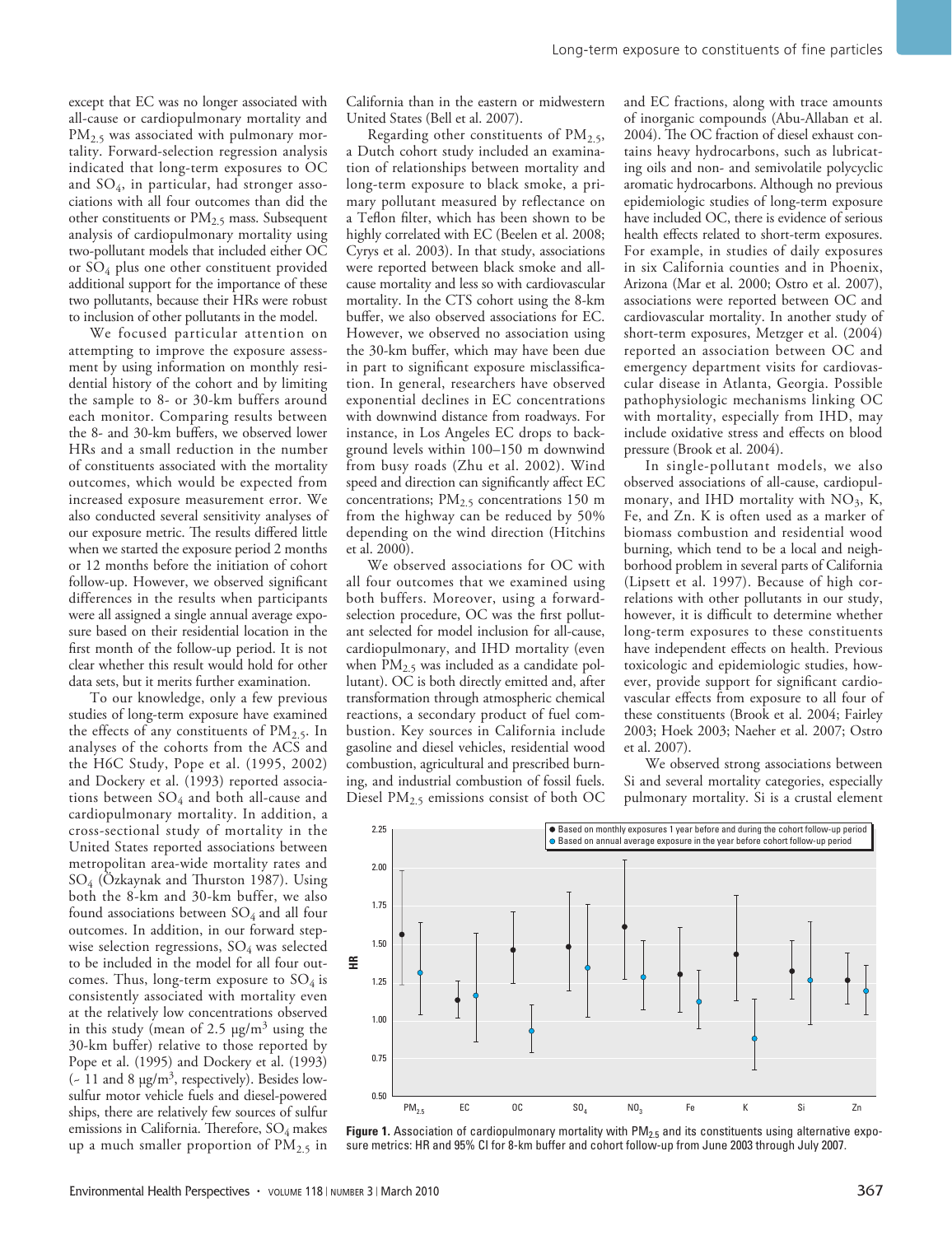except that EC was no longer associated with all-cause or cardiopulmonary mortality and PM<sub>2.5</sub> was associated with pulmonary mortality. Forward-selection regression analysis indicated that long-term exposures to OC and  $SO_4$ , in particular, had stronger associations with all four outcomes than did the other constituents or  $PM_{2.5}$  mass. Subsequent analysis of cardiopulmonary mortality using two-pollutant models that included either OC or SO4 plus one other constituent provided additional support for the importance of these two pollutants, because their HRs were robust to inclusion of other pollutants in the model.

We focused particular attention on attempting to improve the exposure assessment by using information on monthly residential history of the cohort and by limiting the sample to 8- or 30-km buffers around each monitor. Comparing results between the 8- and 30-km buffers, we observed lower HRs and a small reduction in the number of constituents associated with the mortality outcomes, which would be expected from increased exposure measurement error. We also conducted several sensitivity analyses of our exposure metric. The results differed little when we started the exposure period 2 months or 12 months before the initiation of cohort follow-up. However, we observed significant differences in the results when participants were all assigned a single annual average exposure based on their residential location in the first month of the follow-up period. It is not clear whether this result would hold for other data sets, but it merits further examination.

To our knowledge, only a few previous studies of long-term exposure have examined the effects of any constituents of  $PM_{2.5}$ . In analyses of the cohorts from the ACS and the H6C Study, Pope et al. (1995, 2002) and Dockery et al. (1993) reported associations between  $SO_4$  and both all-cause and cardiopulmonary mortality. In addition, a cross-sectional study of mortality in the United States reported associations between metropolitan area-wide mortality rates and SO4 (Özkaynak and Thurston 1987). Using both the 8-km and 30-km buffer, we also found associations between  $SO_4$  and all four outcomes. In addition, in our forward stepwise selection regressions, SO<sub>4</sub> was selected to be included in the model for all four outcomes. Thus, long-term exposure to  $SO_4$  is consistently associated with mortality even at the relatively low concentrations observed in this study (mean of 2.5  $\mu$ g/m<sup>3</sup> using the 30-km buffer) relative to those reported by Pope et al. (1995) and Dockery et al. (1993)  $(-11$  and 8  $\mu$ g/m<sup>3</sup>, respectively). Besides lowsulfur motor vehicle fuels and diesel-powered ships, there are relatively few sources of sulfur emissions in California. Therefore,  $SO_4$  makes up a much smaller proportion of  $PM_{2.5}$  in California than in the eastern or midwestern United States (Bell et al. 2007).

Regarding other constituents of  $PM_{2.5}$ , a Dutch cohort study included an examination of relationships between mortality and long-term exposure to black smoke, a primary pollutant measured by reflectance on a Teflon filter, which has been shown to be highly correlated with EC (Beelen et al. 2008; Cyrys et al. 2003). In that study, associations were reported between black smoke and allcause mortality and less so with cardiovascular mortality. In the CTS cohort using the 8-km buffer, we also observed associations for EC. However, we observed no association using the 30-km buffer, which may have been due in part to significant exposure misclassification. In general, researchers have observed exponential declines in EC concentrations with downwind distance from roadways. For instance, in Los Angeles EC drops to background levels within 100–150 m downwind from busy roads (Zhu et al. 2002). Wind speed and direction can significantly affect EC concentrations;  $PM_{2.5}$  concentrations 150 m from the highway can be reduced by 50% depending on the wind direction (Hitchins et al. 2000).

We observed associations for OC with all four outcomes that we examined using both buffers. Moreover, using a forwardselection procedure, OC was the first pollutant selected for model inclusion for all-cause, cardiopulmonary, and IHD mortality (even when  $PM<sub>2.5</sub>$  was included as a candidate pollutant). OC is both directly emitted and, after transformation through atmospheric chemical reactions, a secondary product of fuel combustion. Key sources in California include gasoline and diesel vehicles, residential wood combustion, agricultural and prescribed burning, and industrial combustion of fossil fuels. Diesel PM<sub>2.5</sub> emissions consist of both OC and EC fractions, along with trace amounts of inorganic compounds (Abu-Allaban et al. 2004). The OC fraction of diesel exhaust contains heavy hydrocarbons, such as lubricating oils and non- and semivolatile polycyclic aromatic hydrocarbons. Although no previous epidemiologic studies of long-term exposure have included OC, there is evidence of serious health effects related to short-term exposures. For example, in studies of daily exposures in six California counties and in Phoenix, Arizona (Mar et al. 2000; Ostro et al. 2007), associations were reported between OC and cardiovascular mortality. In another study of short-term exposures, Metzger et al. (2004) reported an association between OC and emergency department visits for cardiovascular disease in Atlanta, Georgia. Possible pathophysiologic mechanisms linking OC with mortality, especially from IHD, may include oxidative stress and effects on blood pressure (Brook et al. 2004).

In single-pollutant models, we also observed associations of all-cause, cardiopulmonary, and IHD mortality with  $NO<sub>3</sub>$ , K, Fe, and Zn. K is often used as a marker of biomass combustion and residential wood burning, which tend to be a local and neighborhood problem in several parts of California (Lipsett et al. 1997). Because of high correlations with other pollutants in our study, however, it is difficult to determine whether long-term exposures to these constituents have independent effects on health. Previous toxicologic and epidemiologic studies, however, provide support for significant cardiovascular effects from exposure to all four of these constituents (Brook et al. 2004; Fairley 2003; Hoek 2003; Naeher et al. 2007; Ostro et al. 2007).

We observed strong associations between Si and several mortality categories, especially pulmonary mortality. Si is a crustal element



**Figure 1.** Association of cardiopulmonary mortality with PM<sub>2.5</sub> and its constituents using alternative exposure metrics: HR and 95% CI for 8-km buffer and cohort follow-up from June 2003 through July 2007.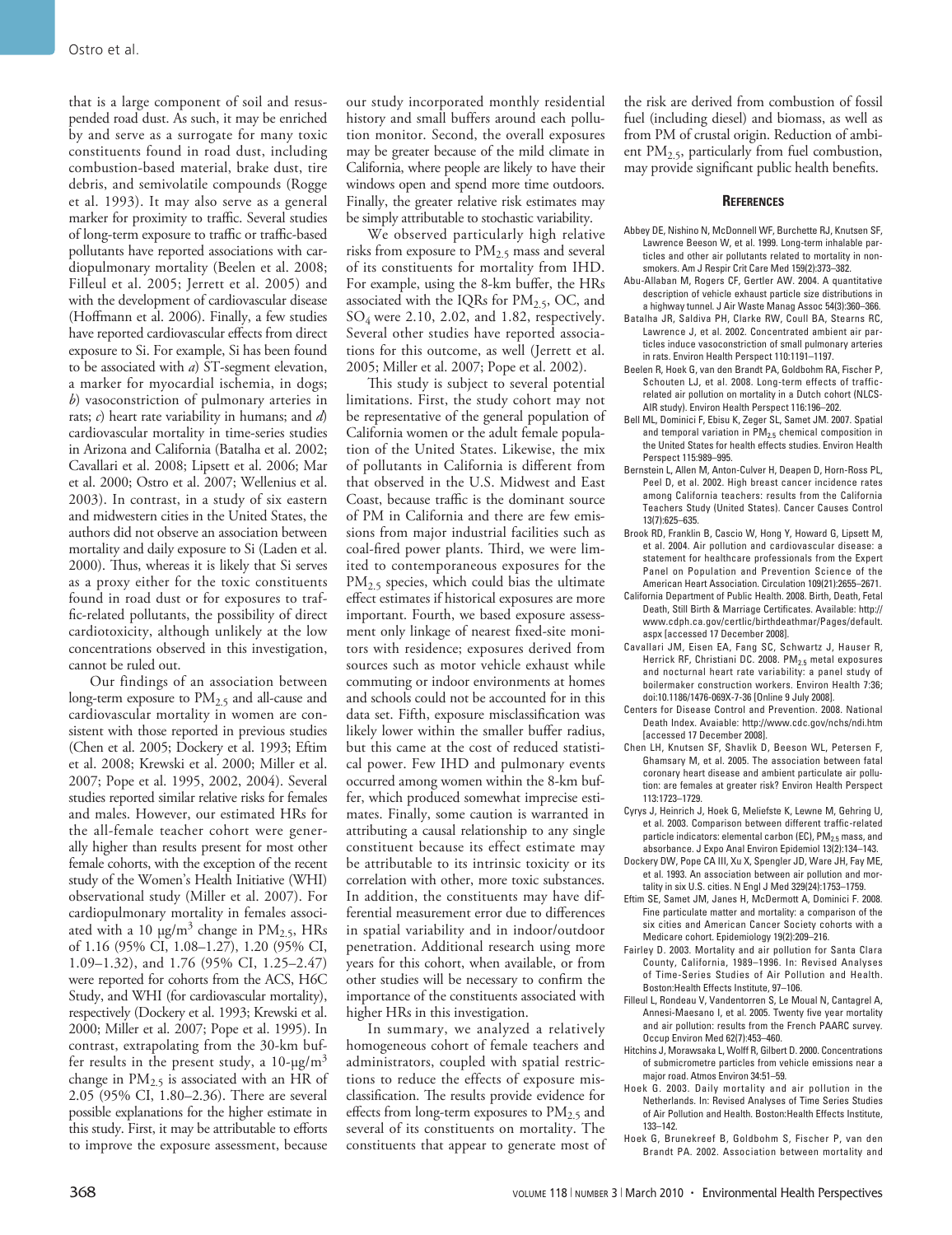that is a large component of soil and resuspended road dust. As such, it may be enriched by and serve as a surrogate for many toxic constituents found in road dust, including combustion-based material, brake dust, tire debris, and semivolatile compounds (Rogge et al. 1993). It may also serve as a general marker for proximity to traffic. Several studies of long-term exposure to traffic or traffic-based pollutants have reported associations with cardiopulmonary mortality (Beelen et al. 2008; Filleul et al. 2005; Jerrett et al. 2005) and with the development of cardiovascular disease (Hoffmann et al. 2006). Finally, a few studies have reported cardiovascular effects from direct exposure to Si. For example, Si has been found to be associated with *a*) ST-segment elevation, a marker for myocardial ischemia, in dogs; *b*) vasoconstriction of pulmonary arteries in rats; *c*) heart rate variability in humans; and *d*) cardiovascular mortality in time-series studies in Arizona and California (Batalha et al. 2002; Cavallari et al. 2008; Lipsett et al. 2006; Mar et al. 2000; Ostro et al. 2007; Wellenius et al. 2003). In contrast, in a study of six eastern and midwestern cities in the United States, the authors did not observe an association between mortality and daily exposure to Si (Laden et al. 2000). Thus, whereas it is likely that Si serves as a proxy either for the toxic constituents found in road dust or for exposures to traffic-related pollutants, the possibility of direct cardiotoxicity, although unlikely at the low concentrations observed in this investigation, cannot be ruled out.

Our findings of an association between long-term exposure to  $PM<sub>2.5</sub>$  and all-cause and cardiovascular mortality in women are consistent with those reported in previous studies (Chen et al. 2005; Dockery et al. 1993; Eftim et al. 2008; Krewski et al. 2000; Miller et al. 2007; Pope et al. 1995, 2002, 2004). Several studies reported similar relative risks for females and males. However, our estimated HRs for the all-female teacher cohort were generally higher than results present for most other female cohorts, with the exception of the recent study of the Women's Health Initiative (WHI) observational study (Miller et al. 2007). For cardiopulmonary mortality in females associated with a 10  $\mu$ g/m<sup>3</sup> change in PM<sub>2.5</sub>, HRs of 1.16 (95% CI, 1.08–1.27), 1.20 (95% CI, 1.09–1.32), and 1.76 (95% CI, 1.25–2.47) were reported for cohorts from the ACS, H6C Study, and WHI (for cardiovascular mortality), respectively (Dockery et al. 1993; Krewski et al. 2000; Miller et al. 2007; Pope et al. 1995). In contrast, extrapolating from the 30-km buffer results in the present study, a  $10$ - $\mu$ g/m<sup>3</sup> change in  $PM_{2.5}$  is associated with an HR of 2.05 (95% CI, 1.80–2.36). There are several possible explanations for the higher estimate in this study. First, it may be attributable to efforts to improve the exposure assessment, because

our study incorporated monthly residential history and small buffers around each pollution monitor. Second, the overall exposures may be greater because of the mild climate in California, where people are likely to have their windows open and spend more time outdoors. Finally, the greater relative risk estimates may be simply attributable to stochastic variability.

We observed particularly high relative risks from exposure to  $PM<sub>2.5</sub>$  mass and several of its constituents for mortality from IHD. For example, using the 8-km buffer, the HRs associated with the IQRs for  $PM_{2.5}$ , OC, and SO4 were 2.10, 2.02, and 1.82, respectively. Several other studies have reported associations for this outcome, as well (Jerrett et al. 2005; Miller et al. 2007; Pope et al. 2002).

This study is subject to several potential limitations. First, the study cohort may not be representative of the general population of California women or the adult female population of the United States. Likewise, the mix of pollutants in California is different from that observed in the U.S. Midwest and East Coast, because traffic is the dominant source of PM in California and there are few emissions from major industrial facilities such as coal-fired power plants. Third, we were limited to contemporaneous exposures for the  $PM<sub>2.5</sub>$  species, which could bias the ultimate effect estimates if historical exposures are more important. Fourth, we based exposure assessment only linkage of nearest fixed-site monitors with residence; exposures derived from sources such as motor vehicle exhaust while commuting or indoor environments at homes and schools could not be accounted for in this data set. Fifth, exposure misclassification was likely lower within the smaller buffer radius, but this came at the cost of reduced statistical power. Few IHD and pulmonary events occurred among women within the 8-km buffer, which produced somewhat imprecise estimates. Finally, some caution is warranted in attributing a causal relationship to any single constituent because its effect estimate may be attributable to its intrinsic toxicity or its correlation with other, more toxic substances. In addition, the constituents may have differential measurement error due to differences in spatial variability and in indoor/outdoor penetration. Additional research using more years for this cohort, when available, or from other studies will be necessary to confirm the importance of the constituents associated with higher HRs in this investigation.

In summary, we analyzed a relatively homogeneous cohort of female teachers and administrators, coupled with spatial restrictions to reduce the effects of exposure misclassification. The results provide evidence for effects from long-term exposures to  $PM_{2.5}$  and several of its constituents on mortality. The constituents that appear to generate most of

the risk are derived from combustion of fossil fuel (including diesel) and biomass, as well as from PM of crustal origin. Reduction of ambient  $PM<sub>2.5</sub>$ , particularly from fuel combustion, may provide significant public health benefits.

#### **References**

- Abbey DE, Nishino N, McDonnell WF, Burchette RJ, Knutsen SF, Lawrence Beeson W, et al. 1999. Long-term inhalable particles and other air pollutants related to mortality in nonsmokers. Am J Respir Crit Care Med 159(2):373–382.
- Abu-Allaban M, Rogers CF, Gertler AW. 2004. A quantitative description of vehicle exhaust particle size distributions in a highway tunnel. J Air Waste Manag Assoc 54(3):360–366.
- Batalha JR, Saldiva PH, Clarke RW, Coull BA, Stearns RC, Lawrence J, et al. 2002. Concentrated ambient air particles induce vasoconstriction of small pulmonary arteries in rats. Environ Health Perspect 110:1191–1197.
- Beelen R, Hoek G, van den Brandt PA, Goldbohm RA, Fischer P, Schouten LJ, et al. 2008. Long-term effects of trafficrelated air pollution on mortality in a Dutch cohort (NLCS-AIR study). Environ Health Perspect 116:196–202.
- Bell ML, Dominici F, Ebisu K, Zeger SL, Samet JM. 2007. Spatial and temporal variation in  $PM<sub>2.5</sub>$  chemical composition in the United States for health effects studies. Environ Health Perspect 115:989–995.
- Bernstein L, Allen M, Anton-Culver H, Deapen D, Horn-Ross PL, Peel D, et al. 2002. High breast cancer incidence rates among California teachers: results from the California Teachers Study (United States). Cancer Causes Control 13(7):625–635.
- Brook RD, Franklin B, Cascio W, Hong Y, Howard G, Lipsett M, et al. 2004. Air pollution and cardiovascular disease: a statement for healthcare professionals from the Expert Panel on Population and Prevention Science of the American Heart Association. Circulation 109(21):2655–2671.
- California Department of Public Health. 2008. Birth, Death, Fetal Death, Still Birth & Marriage Certificates. Available: http:// www.cdph.ca.gov/certlic/birthdeathmar/Pages/default. aspx [accessed 17 December 2008].
- Cavallari JM, Eisen EA, Fang SC, Schwartz J, Hauser R, Herrick RF, Christiani DC. 2008. PM $_{2.5}$  metal exposures and nocturnal heart rate variability: a panel study of boilermaker construction workers. Environ Health 7:36; doi:10.1186/1476-069X-7-36 [Online 9 July 2008].
- Centers for Disease Control and Prevention. 2008. National Death Index. Avaiable: http://www.cdc.gov/nchs/ndi.htm [accessed 17 December 2008].
- Chen LH, Knutsen SF, Shavlik D, Beeson WL, Petersen F, Ghamsary M, et al. 2005. The association between fatal coronary heart disease and ambient particulate air pollution: are females at greater risk? Environ Health Perspect 113:1723–1729.
- Cyrys J, Heinrich J, Hoek G, Meliefste K, Lewne M, Gehring U, et al. 2003. Comparison between different traffic-related particle indicators: elemental carbon (EC), PM<sub>2.5</sub> mass, and absorbance. J Expo Anal Environ Epidemiol 13(2):134–143.
- Dockery DW, Pope CA III, Xu X, Spengler JD, Ware JH, Fay ME, et al. 1993. An association between air pollution and mortality in six U.S. cities. N Engl J Med 329(24):1753–1759.
- Eftim SE, Samet JM, Janes H, McDermott A, Dominici F. 2008. Fine particulate matter and mortality: a comparison of the six cities and American Cancer Society cohorts with a Medicare cohort. Epidemiology 19(2):209–216.
- Fairley D. 2003. Mortality and air pollution for Santa Clara County, California, 1989–1996. In: Revised Analyses of Time-Series Studies of Air Pollution and Health. Boston:Health Effects Institute, 97–106.
- Filleul L, Rondeau V, Vandentorren S, Le Moual N, Cantagrel A, Annesi-Maesano I, et al. 2005. Twenty five year mortality and air pollution: results from the French PAARC survey. Occup Environ Med 62(7):453–460.
- Hitchins J, Morawsaka L, Wolff R, Gilbert D. 2000. Concentrations of submicrometre particles from vehicle emissions near a major road. Atmos Environ 34:51–59.
- Hoek G. 2003. Daily mortality and air pollution in the Netherlands. In: Revised Analyses of Time Series Studies of Air Pollution and Health. Boston:Health Effects Institute, 133–142.
- Hoek G, Brunekreef B, Goldbohm S, Fischer P, van den Brandt PA. 2002. Association between mortality and